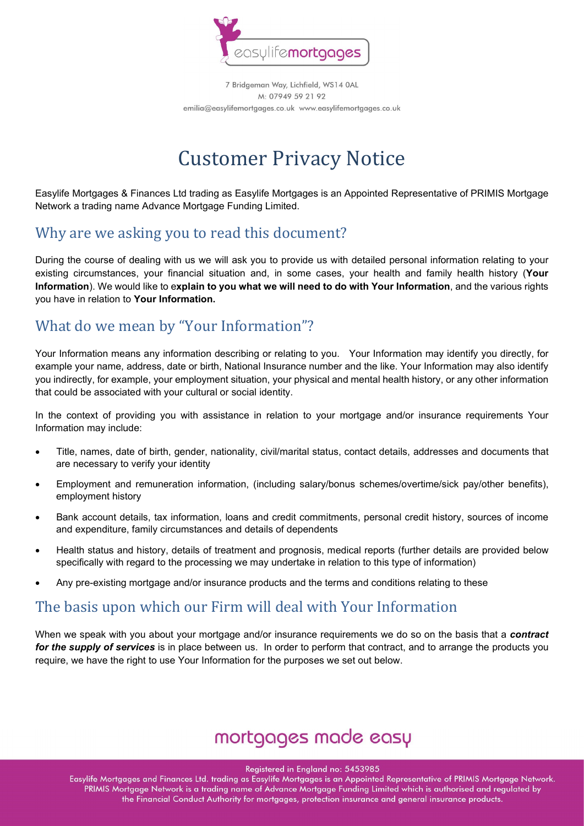

# Customer Privacy Notice

Easylife Mortgages & Finances Ltd trading as Easylife Mortgages is an Appointed Representative of PRIMIS Mortgage Network a trading name Advance Mortgage Funding Limited.

#### Why are we asking you to read this document?

During the course of dealing with us we will ask you to provide us with detailed personal information relating to your existing circumstances, your financial situation and, in some cases, your health and family health history (Your Information). We would like to explain to you what we will need to do with Your Information, and the various rights you have in relation to Your Information.

#### What do we mean by "Your Information"?

Your Information means any information describing or relating to you. Your Information may identify you directly, for example your name, address, date or birth, National Insurance number and the like. Your Information may also identify you indirectly, for example, your employment situation, your physical and mental health history, or any other information that could be associated with your cultural or social identity.

In the context of providing you with assistance in relation to your mortgage and/or insurance requirements Your Information may include:

- Title, names, date of birth, gender, nationality, civil/marital status, contact details, addresses and documents that are necessary to verify your identity
- Employment and remuneration information, (including salary/bonus schemes/overtime/sick pay/other benefits), employment history
- Bank account details, tax information, loans and credit commitments, personal credit history, sources of income and expenditure, family circumstances and details of dependents
- Health status and history, details of treatment and prognosis, medical reports (further details are provided below specifically with regard to the processing we may undertake in relation to this type of information)
- Any pre-existing mortgage and/or insurance products and the terms and conditions relating to these

#### The basis upon which our Firm will deal with Your Information

When we speak with you about your mortgage and/or insurance requirements we do so on the basis that a contract for the supply of services is in place between us. In order to perform that contract, and to arrange the products you require, we have the right to use Your Information for the purposes we set out below.

## mortgages made easy

Registered in England no: 5453985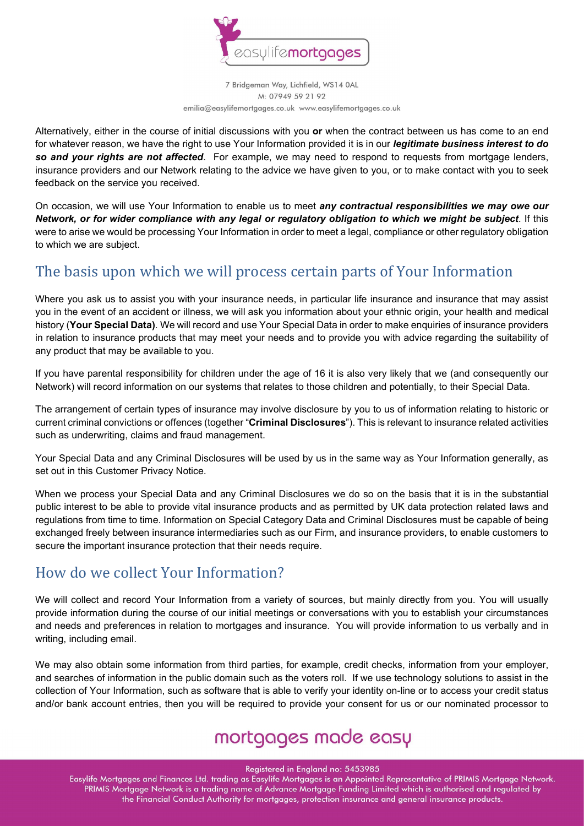

Alternatively, either in the course of initial discussions with you or when the contract between us has come to an end for whatever reason, we have the right to use Your Information provided it is in our *legitimate business interest to do* so and your rights are not affected. For example, we may need to respond to requests from mortgage lenders, insurance providers and our Network relating to the advice we have given to you, or to make contact with you to seek feedback on the service you received.

On occasion, we will use Your Information to enable us to meet any contractual responsibilities we may owe our Network, or for wider compliance with any legal or regulatory obligation to which we might be subject. If this were to arise we would be processing Your Information in order to meet a legal, compliance or other regulatory obligation to which we are subject.

#### The basis upon which we will process certain parts of Your Information

Where you ask us to assist you with your insurance needs, in particular life insurance and insurance that may assist you in the event of an accident or illness, we will ask you information about your ethnic origin, your health and medical history (Your Special Data). We will record and use Your Special Data in order to make enquiries of insurance providers in relation to insurance products that may meet your needs and to provide you with advice regarding the suitability of any product that may be available to you.

If you have parental responsibility for children under the age of 16 it is also very likely that we (and consequently our Network) will record information on our systems that relates to those children and potentially, to their Special Data.

The arrangement of certain types of insurance may involve disclosure by you to us of information relating to historic or current criminal convictions or offences (together "Criminal Disclosures"). This is relevant to insurance related activities such as underwriting, claims and fraud management.

Your Special Data and any Criminal Disclosures will be used by us in the same way as Your Information generally, as set out in this Customer Privacy Notice.

When we process your Special Data and any Criminal Disclosures we do so on the basis that it is in the substantial public interest to be able to provide vital insurance products and as permitted by UK data protection related laws and regulations from time to time. Information on Special Category Data and Criminal Disclosures must be capable of being exchanged freely between insurance intermediaries such as our Firm, and insurance providers, to enable customers to secure the important insurance protection that their needs require.

#### How do we collect Your Information?

We will collect and record Your Information from a variety of sources, but mainly directly from you. You will usually provide information during the course of our initial meetings or conversations with you to establish your circumstances and needs and preferences in relation to mortgages and insurance. You will provide information to us verbally and in writing, including email.

We may also obtain some information from third parties, for example, credit checks, information from your employer, and searches of information in the public domain such as the voters roll. If we use technology solutions to assist in the collection of Your Information, such as software that is able to verify your identity on-line or to access your credit status and/or bank account entries, then you will be required to provide your consent for us or our nominated processor to

## mortgages made easy

Registered in England no: 5453985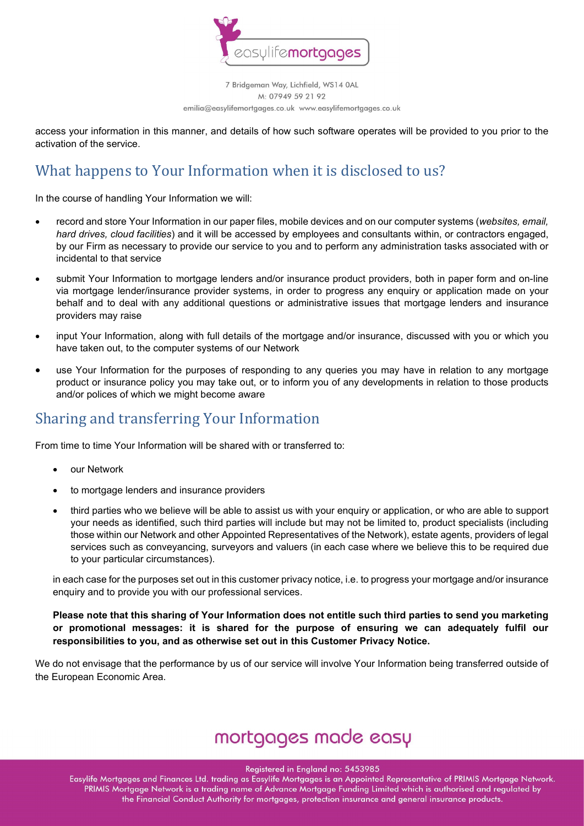

access your information in this manner, and details of how such software operates will be provided to you prior to the activation of the service.

### What happens to Your Information when it is disclosed to us?

In the course of handling Your Information we will:

- record and store Your Information in our paper files, mobile devices and on our computer systems (websites, email, hard drives, cloud facilities) and it will be accessed by employees and consultants within, or contractors engaged, by our Firm as necessary to provide our service to you and to perform any administration tasks associated with or incidental to that service
- submit Your Information to mortgage lenders and/or insurance product providers, both in paper form and on-line via mortgage lender/insurance provider systems, in order to progress any enquiry or application made on your behalf and to deal with any additional questions or administrative issues that mortgage lenders and insurance providers may raise
- input Your Information, along with full details of the mortgage and/or insurance, discussed with you or which you have taken out, to the computer systems of our Network
- use Your Information for the purposes of responding to any queries you may have in relation to any mortgage product or insurance policy you may take out, or to inform you of any developments in relation to those products and/or polices of which we might become aware

#### Sharing and transferring Your Information

From time to time Your Information will be shared with or transferred to:

- our Network
- to mortgage lenders and insurance providers
- third parties who we believe will be able to assist us with your enquiry or application, or who are able to support your needs as identified, such third parties will include but may not be limited to, product specialists (including those within our Network and other Appointed Representatives of the Network), estate agents, providers of legal services such as conveyancing, surveyors and valuers (in each case where we believe this to be required due to your particular circumstances).

in each case for the purposes set out in this customer privacy notice, i.e. to progress your mortgage and/or insurance enquiry and to provide you with our professional services.

Please note that this sharing of Your Information does not entitle such third parties to send you marketing or promotional messages: it is shared for the purpose of ensuring we can adequately fulfil our responsibilities to you, and as otherwise set out in this Customer Privacy Notice.

We do not envisage that the performance by us of our service will involve Your Information being transferred outside of the European Economic Area.

### mortgages made easy

Registered in England no: 5453985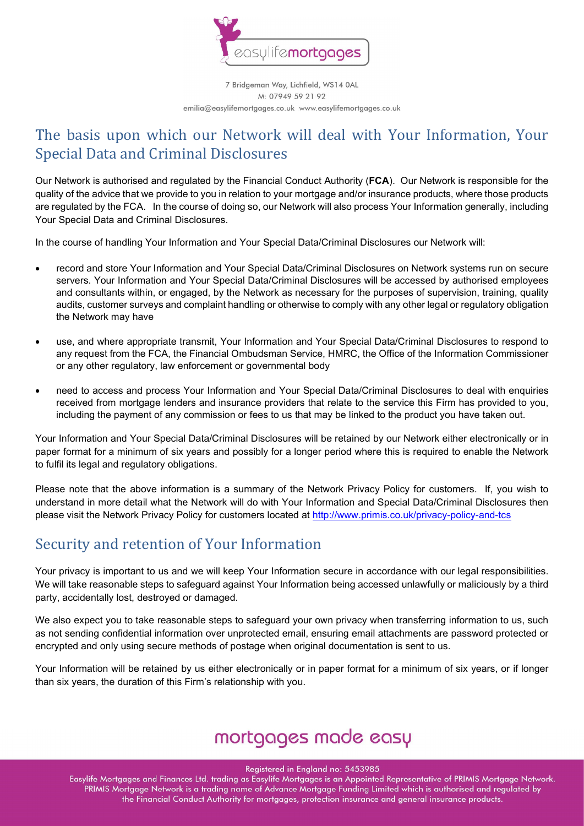

#### The basis upon which our Network will deal with Your Information, Your Special Data and Criminal Disclosures

Our Network is authorised and regulated by the Financial Conduct Authority (FCA). Our Network is responsible for the quality of the advice that we provide to you in relation to your mortgage and/or insurance products, where those products are regulated by the FCA. In the course of doing so, our Network will also process Your Information generally, including Your Special Data and Criminal Disclosures.

In the course of handling Your Information and Your Special Data/Criminal Disclosures our Network will:

- record and store Your Information and Your Special Data/Criminal Disclosures on Network systems run on secure servers. Your Information and Your Special Data/Criminal Disclosures will be accessed by authorised employees and consultants within, or engaged, by the Network as necessary for the purposes of supervision, training, quality audits, customer surveys and complaint handling or otherwise to comply with any other legal or regulatory obligation the Network may have
- use, and where appropriate transmit, Your Information and Your Special Data/Criminal Disclosures to respond to any request from the FCA, the Financial Ombudsman Service, HMRC, the Office of the Information Commissioner or any other regulatory, law enforcement or governmental body
- need to access and process Your Information and Your Special Data/Criminal Disclosures to deal with enquiries received from mortgage lenders and insurance providers that relate to the service this Firm has provided to you, including the payment of any commission or fees to us that may be linked to the product you have taken out.

Your Information and Your Special Data/Criminal Disclosures will be retained by our Network either electronically or in paper format for a minimum of six years and possibly for a longer period where this is required to enable the Network to fulfil its legal and regulatory obligations.

Please note that the above information is a summary of the Network Privacy Policy for customers. If, you wish to understand in more detail what the Network will do with Your Information and Special Data/Criminal Disclosures then please visit the Network Privacy Policy for customers located at http://www.primis.co.uk/privacy-policy-and-tcs

#### Security and retention of Your Information

Your privacy is important to us and we will keep Your Information secure in accordance with our legal responsibilities. We will take reasonable steps to safeguard against Your Information being accessed unlawfully or maliciously by a third party, accidentally lost, destroyed or damaged.

We also expect you to take reasonable steps to safeguard your own privacy when transferring information to us, such as not sending confidential information over unprotected email, ensuring email attachments are password protected or encrypted and only using secure methods of postage when original documentation is sent to us.

Your Information will be retained by us either electronically or in paper format for a minimum of six years, or if longer than six years, the duration of this Firm's relationship with you.

### mortgages made easy

Registered in England no: 5453985